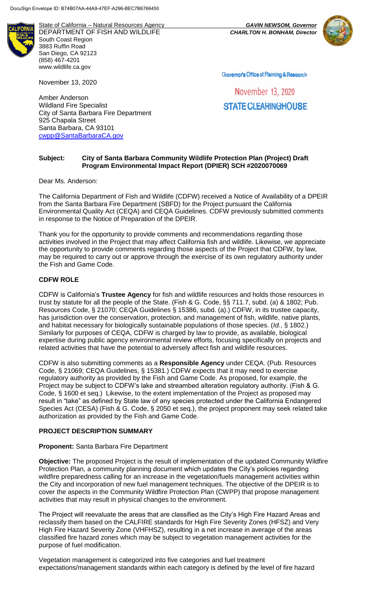State of California – Natural Resources Agency *GAVIN NEWSOM, Governor* DEPARTMENT OF FISH AND WILDLIFE *CHARLTON H. BONHAM, Director* South Coast Region 3883 Ruffin Road San Diego, CA 92123 (858) 467-4201 www.wildlife.ca.gov

City of Santa Barbara Fire Department

November 13, 2020

925 Chapala Street Santa Barbara, CA 93101 [cwpp@SantaBarbaraCA.gov](mailto:cwpp@SantaBarbaraCA.gov)

Amber Anderson Wildland Fire Specialist



Governor's Office of Planning & Research

November 13, 2020 STATE CLEARINGHOUSE

# **Subject: City of Santa Barbara Community Wildlife Protection Plan (Project) Draft Program Environmental Impact Report (DPIER) SCH #2020070069**

Dear Ms. Anderson:

The California Department of Fish and Wildlife (CDFW) received a Notice of Availability of a DPEIR from the Santa Barbara Fire Department (SBFD) for the Project pursuant the California Environmental Quality Act (CEQA) and CEQA Guidelines. CDFW previously submitted comments in response to the Notice of Preparation of the DPEIR.

Thank you for the opportunity to provide comments and recommendations regarding those activities involved in the Project that may affect California fish and wildlife. Likewise, we appreciate the opportunity to provide comments regarding those aspects of the Project that CDFW, by law, may be required to carry out or approve through the exercise of its own regulatory authority under the Fish and Game Code.

#### **CDFW ROLE**

CDFW is California's **Trustee Agency** for fish and wildlife resources and holds those resources in trust by statute for all the people of the State. (Fish & G. Code, §§ 711.7, subd. (a) & 1802; Pub. Resources Code, § 21070; CEQA Guidelines § 15386, subd. (a).) CDFW, in its trustee capacity, has jurisdiction over the conservation, protection, and management of fish, wildlife, native plants, and habitat necessary for biologically sustainable populations of those species. (*Id.*, § 1802.) Similarly for purposes of CEQA, CDFW is charged by law to provide, as available, biological expertise during public agency environmental review efforts, focusing specifically on projects and related activities that have the potential to adversely affect fish and wildlife resources.

CDFW is also submitting comments as a **Responsible Agency** under CEQA. (Pub. Resources Code, § 21069; CEQA Guidelines, § 15381.) CDFW expects that it may need to exercise regulatory authority as provided by the Fish and Game Code. As proposed, for example, the Project may be subject to CDFW's lake and streambed alteration regulatory authority. (Fish & G. Code, § 1600 et seq.) Likewise, to the extent implementation of the Project as proposed may result in "take" as defined by State law of any species protected under the California Endangered Species Act (CESA) (Fish & G. Code, § 2050 et seq.), the project proponent may seek related take authorization as provided by the Fish and Game Code.

#### **PROJECT DESCRIPTION SUMMARY**

#### **Proponent:** Santa Barbara Fire Department

**Objective:** The proposed Project is the result of implementation of the updated Community Wildfire Protection Plan, a community planning document which updates the City's policies regarding wildfire preparedness calling for an increase in the vegetation/fuels management activities within the City and incorporation of new fuel management techniques. The objective of the DPEIR is to cover the aspects in the Community Wildfire Protection Plan (CWPP) that propose management activities that may result in physical changes to the environment.

The Project will reevaluate the areas that are classified as the City's High Fire Hazard Areas and reclassify them based on the CALFIRE standards for High Fire Severity Zones (HFSZ) and Very High Fire Hazard Severity Zone (VHFHSZ), resulting in a net increase in average of the areas classified fire hazard zones which may be subject to vegetation management activities for the purpose of fuel modification.

Vegetation management is categorized into five categories and fuel treatment expectations/management standards within each category is defined by the level of fire hazard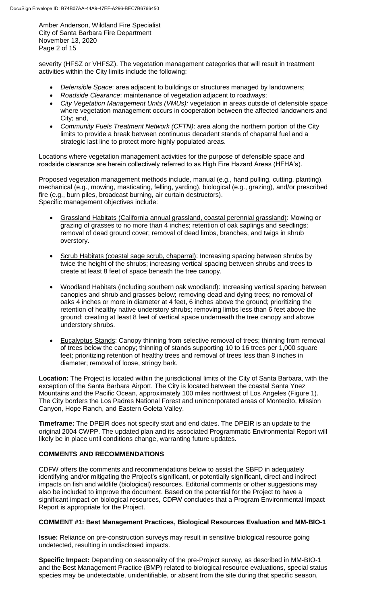Amber Anderson, Wildland Fire Specialist City of Santa Barbara Fire Department November 13, 2020 Page 2 of 15

severity (HFSZ or VHFSZ). The vegetation management categories that will result in treatment activities within the City limits include the following:

- *Defensible Space*: area adjacent to buildings or structures managed by landowners;
- *Roadside Clearance*: maintenance of vegetation adjacent to roadways;
- *City Vegetation Management Units (VMUs):* vegetation in areas outside of defensible space where vegetation management occurs in cooperation between the affected landowners and City; and,
- *Community Fuels Treatment Network (CFTN)*: area along the northern portion of the City limits to provide a break between continuous decadent stands of chaparral fuel and a strategic last line to protect more highly populated areas.

Locations where vegetation management activities for the purpose of defensible space and roadside clearance are herein collectively referred to as High Fire Hazard Areas (HFHA's).

Proposed vegetation management methods include, manual (e.g., hand pulling, cutting, planting), mechanical (e.g., mowing, masticating, felling, yarding), biological (e.g., grazing), and/or prescribed fire (e.g., burn piles, broadcast burning, air curtain destructors). Specific management objectives include:

- Grassland Habitats (California annual grassland, coastal perennial grassland): Mowing or grazing of grasses to no more than 4 inches; retention of oak saplings and seedlings; removal of dead ground cover; removal of dead limbs, branches, and twigs in shrub overstory.
- Scrub Habitats (coastal sage scrub, chaparral): Increasing spacing between shrubs by twice the height of the shrubs; increasing vertical spacing between shrubs and trees to create at least 8 feet of space beneath the tree canopy.
- Woodland Habitats (including southern oak woodland): Increasing vertical spacing between canopies and shrub and grasses below; removing dead and dying trees; no removal of oaks 4 inches or more in diameter at 4 feet, 6 inches above the ground; prioritizing the retention of healthy native understory shrubs; removing limbs less than 6 feet above the ground; creating at least 8 feet of vertical space underneath the tree canopy and above understory shrubs.
- **Eucalyptus Stands: Canopy thinning from selective removal of trees; thinning from removal** of trees below the canopy; thinning of stands supporting 10 to 16 trees per 1,000 square feet; prioritizing retention of healthy trees and removal of trees less than 8 inches in diameter; removal of loose, stringy bark.

**Location:** The Project is located within the jurisdictional limits of the City of Santa Barbara, with the exception of the Santa Barbara Airport. The City is located between the coastal Santa Ynez Mountains and the Pacific Ocean, approximately 100 miles northwest of Los Angeles (Figure 1). The City borders the Los Padres National Forest and unincorporated areas of Montecito, Mission Canyon, Hope Ranch, and Eastern Goleta Valley.

**Timeframe:** The DPEIR does not specify start and end dates. The DPEIR is an update to the original 2004 CWPP. The updated plan and its associated Programmatic Environmental Report will likely be in place until conditions change, warranting future updates.

# **COMMENTS AND RECOMMENDATIONS**

CDFW offers the comments and recommendations below to assist the SBFD in adequately identifying and/or mitigating the Project's significant, or potentially significant, direct and indirect impacts on fish and wildlife (biological) resources. Editorial comments or other suggestions may also be included to improve the document. Based on the potential for the Project to have a significant impact on biological resources, CDFW concludes that a Program Environmental Impact Report is appropriate for the Project.

# **COMMENT #1: Best Management Practices, Biological Resources Evaluation and MM-BIO-1**

**Issue:** Reliance on pre-construction surveys may result in sensitive biological resource going undetected, resulting in undisclosed impacts.

**Specific Impact:** Depending on seasonality of the pre-Project survey, as described in MM-BIO-1 and the Best Management Practice (BMP) related to biological resource evaluations, special status species may be undetectable, unidentifiable, or absent from the site during that specific season,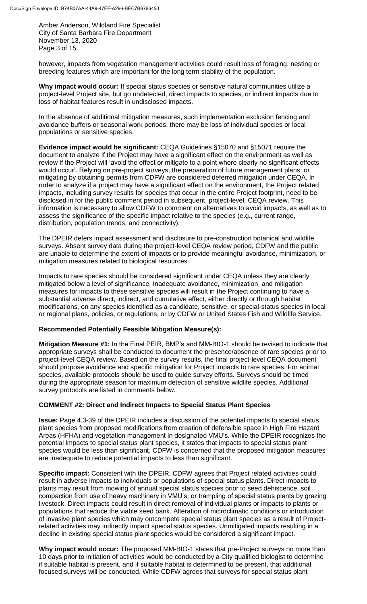Amber Anderson, Wildland Fire Specialist City of Santa Barbara Fire Department November 13, 2020 Page 3 of 15

however, impacts from vegetation management activities could result loss of foraging, nesting or breeding features which are important for the long term stability of the population.

**Why impact would occur:** If special status species or sensitive natural communities utilize a project-level Project site, but go undetected, direct impacts to species, or indirect impacts due to loss of habitat features result in undisclosed impacts.

In the absence of additional mitigation measures, such implementation exclusion fencing and avoidance buffers or seasonal work periods, there may be loss of individual species or local populations or sensitive species.

**Evidence impact would be significant:** CEQA Guidelines §15070 and §15071 require the document to analyze if the Project may have a significant effect on the environment as well as review if the Project will 'avoid the effect or mitigate to a point where clearly no significant effects would occur'. Relying on pre-project surveys, the preparation of future management plans, or mitigating by obtaining permits from CDFW are considered deferred mitigation under CEQA. In order to analyze if a project may have a significant effect on the environment, the Project related impacts, including survey results for species that occur in the entire Project footprint, need to be disclosed in for the public comment period in subsequent, project-level, CEQA review. This information is necessary to allow CDFW to comment on alternatives to avoid impacts, as well as to assess the significance of the specific impact relative to the species (e.g., current range, distribution, population trends, and connectivity).

The DPEIR defers impact assessment and disclosure to pre-construction botanical and wildlife surveys. Absent survey data during the project-level CEQA review period, CDFW and the public are unable to determine the extent of impacts or to provide meaningful avoidance, minimization, or mitigation measures related to biological resources.

Impacts to rare species should be considered significant under CEQA unless they are clearly mitigated below a level of significance. Inadequate avoidance, minimization, and mitigation measures for impacts to these sensitive species will result in the Project continuing to have a substantial adverse direct, indirect, and cumulative effect, either directly or through habitat modifications, on any species identified as a candidate, sensitive, or special-status species in local or regional plans, policies, or regulations, or by CDFW or United States Fish and Wildlife Service.

# **Recommended Potentially Feasible Mitigation Measure(s):**

**Mitigation Measure #1:** In the Final PEIR, BMP's and MM-BIO-1 should be revised to indicate that appropriate surveys shall be conducted to document the presence/absence of rare species prior to project-level CEQA review. Based on the survey results, the final project-level CEQA document should propose avoidance and specific mitigation for Project impacts to rare species. For animal species, available protocols should be used to guide survey efforts. Surveys should be timed during the appropriate season for maximum detection of sensitive wildlife species. Additional survey protocols are listed in comments below.

# **COMMENT #2: Direct and Indirect Impacts to Special Status Plant Species**

**Issue:** Page 4.3-39 of the DPEIR includes a discussion of the potential impacts to special status plant species from proposed modifications from creation of defensible space in High Fire Hazard Areas (HFHA) and vegetation management in designated VMU's. While the DPEIR recognizes the potential impacts to special status plant species, it states that impacts to special status plant species would be less than significant. CDFW is concerned that the proposed mitigation measures are inadequate to reduce potential impacts to less than significant.

**Specific impact:** Consistent with the DPEIR, CDFW agrees that Project related activities could result in adverse impacts to individuals or populations of special status plants. Direct impacts to plants may result from mowing of annual special status species prior to seed dehiscence, soil compaction from use of heavy machinery in VMU's, or trampling of special status plants by grazing livestock. Direct impacts could result in direct removal of individual plants or impacts to plants or populations that reduce the viable seed bank. Alteration of microclimatic conditions or introduction of invasive plant species which may outcompete special status plant species as a result of Projectrelated activities may indirectly impact special status species. Unmitigated impacts resulting in a decline in existing special status plant species would be considered a significant impact.

**Why impact would occur:** The proposed MM-BIO-1 states that pre-Project surveys no more than 10 days prior to initiation of activities would be conducted by a City qualified biologist to determine if suitable habitat is present, and if suitable habitat is determined to be present, that additional focused surveys will be conducted. While CDFW agrees that surveys for special status plant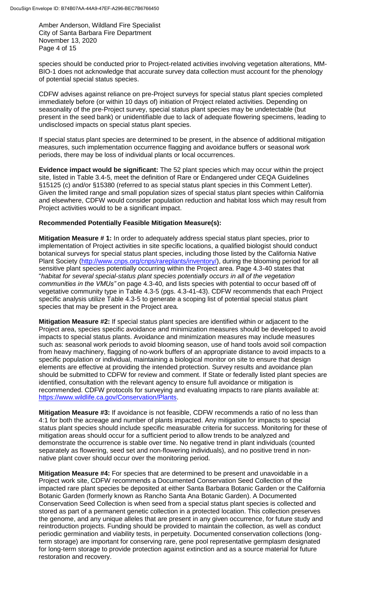Amber Anderson, Wildland Fire Specialist City of Santa Barbara Fire Department November 13, 2020 Page 4 of 15

species should be conducted prior to Project-related activities involving vegetation alterations, MM-BIO-1 does not acknowledge that accurate survey data collection must account for the phenology of potential special status species.

CDFW advises against reliance on pre-Project surveys for special status plant species completed immediately before (or within 10 days of) initiation of Project related activities. Depending on seasonality of the pre-Project survey, special status plant species may be undetectable (but present in the seed bank) or unidentifiable due to lack of adequate flowering specimens, leading to undisclosed impacts on special status plant species.

If special status plant species are determined to be present, in the absence of additional mitigation measures, such implementation occurrence flagging and avoidance buffers or seasonal work periods, there may be loss of individual plants or local occurrences.

**Evidence impact would be significant:** The 52 plant species which may occur within the project site, listed in Table 3.4-5, meet the definition of Rare or Endangered under CEQA Guidelines §15125 (c) and/or §15380 (referred to as special status plant species in this Comment Letter). Given the limited range and small population sizes of special status plant species within California and elsewhere, CDFW would consider population reduction and habitat loss which may result from Project activities would to be a significant impact.

# **Recommended Potentially Feasible Mitigation Measure(s):**

**Mitigation Measure # 1:** In order to adequately address special status plant species, prior to implementation of Project activities in site specific locations, a qualified biologist should conduct botanical surveys for special status plant species, including those listed by the California Native Plant Society [\(http://www.cnps.org/cnps/rareplants/inventory/\)](http://www.cnps.org/cnps/rareplants/inventory/), during the blooming period for all sensitive plant species potentially occurring within the Project area. Page 4.3-40 states that "*habitat for several special-status plant species potentially occurs in all of the vegetation communities in the VMUs"* on page 4.3-40, and lists species with potential to occur based off of vegetative community type in Table 4.3-5 (pgs. 4.3-41-43). CDFW recommends that each Project specific analysis utilize Table 4.3-5 to generate a scoping list of potential special status plant species that may be present in the Project area.

**Mitigation Measure #2:** If special status plant species are identified within or adjacent to the Project area, species specific avoidance and minimization measures should be developed to avoid impacts to special status plants. Avoidance and minimization measures may include measures such as: seasonal work periods to avoid blooming season, use of hand tools avoid soil compaction from heavy machinery, flagging of no-work buffers of an appropriate distance to avoid impacts to a specific population or individual, maintaining a biological monitor on site to ensure that design elements are effective at providing the intended protection. Survey results and avoidance plan should be submitted to CDFW for review and comment. If State or federally listed plant species are identified, consultation with the relevant agency to ensure full avoidance or mitigation is recommended. CDFW protocols for surveying and evaluating impacts to rare plants available at: [https://www.wildlife.ca.gov/Conservation/Plants.](https://www.wildlife.ca.gov/Conservation/Plants)

**Mitigation Measure #3:** If avoidance is not feasible, CDFW recommends a ratio of no less than 4:1 for both the acreage and number of plants impacted. Any mitigation for impacts to special status plant species should include specific measurable criteria for success. Monitoring for these of mitigation areas should occur for a sufficient period to allow trends to be analyzed and demonstrate the occurrence is stable over time. No negative trend in plant individuals (counted separately as flowering, seed set and non-flowering individuals), and no positive trend in nonnative plant cover should occur over the monitoring period.

**Mitigation Measure #4:** For species that are determined to be present and unavoidable in a Project work site, CDFW recommends a Documented Conservation Seed Collection of the impacted rare plant species be deposited at either Santa Barbara Botanic Garden or the California Botanic Garden (formerly known as Rancho Santa Ana Botanic Garden). A Documented Conservation Seed Collection is when seed from a special status plant species is collected and stored as part of a permanent genetic collection in a protected location. This collection preserves the genome, and any unique alleles that are present in any given occurrence, for future study and reintroduction projects. Funding should be provided to maintain the collection, as well as conduct periodic germination and viability tests, in perpetuity. Documented conservation collections (longterm storage) are important for conserving rare, gene pool representative germplasm designated for long-term storage to provide protection against extinction and as a source material for future restoration and recovery.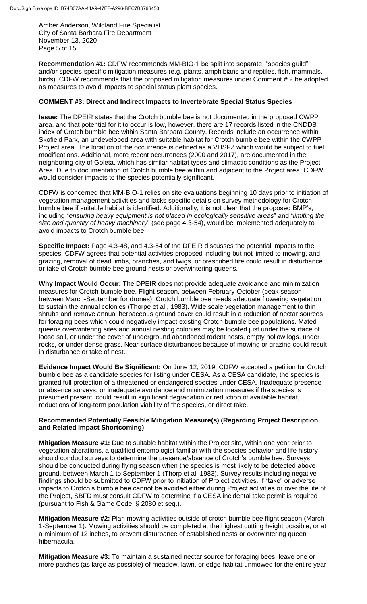Amber Anderson, Wildland Fire Specialist City of Santa Barbara Fire Department November 13, 2020 Page 5 of 15

**Recommendation #1:** CDFW recommends MM-BIO-1 be split into separate, "species guild" and/or species-specific mitigation measures (e.g. plants, amphibians and reptiles, fish, mammals, birds). CDFW recommends that the proposed mitigation measures under Comment # 2 be adopted as measures to avoid impacts to special status plant species.

### **COMMENT #3: Direct and Indirect Impacts to Invertebrate Special Status Species**

**Issue:** The DPEIR states that the Crotch bumble bee is not documented in the proposed CWPP area, and that potential for it to occur is low, however, there are 17 records listed in the CNDDB index of Crotch bumble bee within Santa Barbara County. Records include an occurrence within Skofield Park, an undeveloped area with suitable habitat for Crotch bumble bee within the CWPP Project area. The location of the occurrence is defined as a VHSFZ which would be subject to fuel modifications. Additional, more recent occurrences (2000 and 2017), are documented in the neighboring city of Goleta, which has similar habitat types and climactic conditions as the Project Area. Due to documentation of Crotch bumble bee within and adjacent to the Project area, CDFW would consider impacts to the species potentially significant.

CDFW is concerned that MM-BIO-1 relies on site evaluations beginning 10 days prior to initiation of vegetation management activities and lacks specific details on survey methodology for Crotch bumble bee if suitable habitat is identified. Additionally, it is not clear that the proposed BMP's, including "*ensuring heavy equipment is not placed in ecologically sensitive areas*" and "*limiting the size and quantity of heavy machinery*" (see page 4.3-54), would be implemented adequately to avoid impacts to Crotch bumble bee.

**Specific Impact:** Page 4.3-48, and 4.3-54 of the DPEIR discusses the potential impacts to the species. CDFW agrees that potential activities proposed including but not limited to mowing, and grazing, removal of dead limbs, branches, and twigs, or prescribed fire could result in disturbance or take of Crotch bumble bee ground nests or overwintering queens.

**Why Impact Would Occur:** The DPEIR does not provide adequate avoidance and minimization measures for Crotch bumble bee. Flight season, between February-October (peak season between March-September for drones), Crotch bumble bee needs adequate flowering vegetation to sustain the annual colonies (Thorpe et al., 1983). Wide scale vegetation management to thin shrubs and remove annual herbaceous ground cover could result in a reduction of nectar sources for foraging bees which could negatively impact existing Crotch bumble bee populations. Mated queens overwintering sites and annual nesting colonies may be located just under the surface of loose soil, or under the cover of underground abandoned rodent nests, empty hollow logs, under rocks, or under dense grass. Near surface disturbances because of mowing or grazing could result in disturbance or take of nest.

**Evidence Impact Would Be Significant:** On June 12, 2019, CDFW accepted a petition for Crotch bumble bee as a candidate species for listing under CESA. As a CESA candidate, the species is granted full protection of a threatened or endangered species under CESA. Inadequate presence or absence surveys, or inadequate avoidance and minimization measures if the species is presumed present, could result in significant degradation or reduction of available habitat, reductions of long-term population viability of the species, or direct take.

# **Recommended Potentially Feasible Mitigation Measure(s) (Regarding Project Description and Related Impact Shortcoming)**

**Mitigation Measure #1:** Due to suitable habitat within the Project site, within one year prior to vegetation alterations, a qualified entomologist familiar with the species behavior and life history should conduct surveys to determine the presence/absence of Crotch's bumble bee. Surveys should be conducted during flying season when the species is most likely to be detected above ground, between March 1 to September 1 (Thorp et al. 1983). Survey results including negative findings should be submitted to CDFW prior to initiation of Project activities. If "take" or adverse impacts to Crotch's bumble bee cannot be avoided either during Project activities or over the life of the Project, SBFD must consult CDFW to determine if a CESA incidental take permit is required (pursuant to Fish & Game Code, § 2080 et seq.).

**Mitigation Measure #2:** Plan mowing activities outside of crotch bumble bee flight season (March 1-September 1). Mowing activities should be completed at the highest cutting height possible, or at a minimum of 12 inches, to prevent disturbance of established nests or overwintering queen hibernacula.

**Mitigation Measure #3:** To maintain a sustained nectar source for foraging bees, leave one or more patches (as large as possible) of meadow, lawn, or edge habitat unmowed for the entire year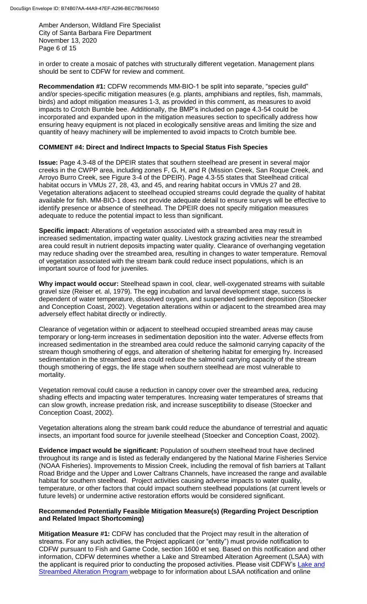Amber Anderson, Wildland Fire Specialist City of Santa Barbara Fire Department November 13, 2020 Page 6 of 15

in order to create a mosaic of patches with structurally different vegetation. Management plans should be sent to CDFW for review and comment.

**Recommendation #1:** CDFW recommends MM-BIO-1 be split into separate, "species guild" and/or species-specific mitigation measures (e.g. plants, amphibians and reptiles, fish, mammals, birds) and adopt mitigation measures 1-3, as provided in this comment, as measures to avoid impacts to Crotch Bumble bee. Additionally, the BMP's included on page 4.3-54 could be incorporated and expanded upon in the mitigation measures section to specifically address how ensuring heavy equipment is not placed in ecologically sensitive areas and limiting the size and quantity of heavy machinery will be implemented to avoid impacts to Crotch bumble bee.

### **COMMENT #4: Direct and Indirect Impacts to Special Status Fish Species**

**Issue:** Page 4.3-48 of the DPEIR states that southern steelhead are present in several major creeks in the CWPP area, including zones F, G, H, and R (Mission Creek, San Roque Creek, and Arroyo Burro Creek, see Figure 3-4 of the DPEIR). Page 4.3-55 states that Steelhead critical habitat occurs in VMUs 27, 28, 43, and 45, and rearing habitat occurs in VMUs 27 and 28. Vegetation alterations adjacent to steelhead occupied streams could degrade the quality of habitat available for fish. MM-BIO-1 does not provide adequate detail to ensure surveys will be effective to identify presence or absence of steelhead. The DPEIR does not specify mitigation measures adequate to reduce the potential impact to less than significant.

**Specific impact:** Alterations of vegetation associated with a streambed area may result in increased sedimentation, impacting water quality. Livestock grazing activities near the streambed area could result in nutrient deposits impacting water quality. Clearance of overhanging vegetation may reduce shading over the streambed area, resulting in changes to water temperature. Removal of vegetation associated with the stream bank could reduce insect populations, which is an important source of food for juveniles.

**Why impact would occur:** Steelhead spawn in cool, clear, well-oxygenated streams with suitable gravel size (Reiser et. al, 1979). The egg incubation and larval development stage, success is dependent of water temperature, dissolved oxygen, and suspended sediment deposition (Stoecker and Conception Coast, 2002). Vegetation alterations within or adjacent to the streambed area may adversely effect habitat directly or indirectly.

Clearance of vegetation within or adjacent to steelhead occupied streambed areas may cause temporary or long-term increases in sedimentation deposition into the water. Adverse effects from increased sedimentation in the streambed area could reduce the salmonid carrying capacity of the stream though smothering of eggs, and alteration of sheltering habitat for emerging fry. Increased sedimentation in the streambed area could reduce the salmonid carrying capacity of the stream though smothering of eggs, the life stage when southern steelhead are most vulnerable to mortality.

Vegetation removal could cause a reduction in canopy cover over the streambed area, reducing shading effects and impacting water temperatures. Increasing water temperatures of streams that can slow growth, increase predation risk, and increase susceptibility to disease (Stoecker and Conception Coast, 2002).

Vegetation alterations along the stream bank could reduce the abundance of terrestrial and aquatic insects, an important food source for juvenile steelhead (Stoecker and Conception Coast, 2002).

**Evidence impact would be significant:** Population of southern steelhead trout have declined throughout its range and is listed as federally endangered by the National Marine Fisheries Service (NOAA Fisheries). Improvements to Mission Creek, including the removal of fish barriers at Tallant Road Bridge and the Upper and Lower Caltrans Channels, have increased the range and available habitat for southern steelhead. Project activities causing adverse impacts to water quality, temperature, or other factors that could impact southern steelhead populations (at current levels or future levels) or undermine active restoration efforts would be considered significant.

#### **Recommended Potentially Feasible Mitigation Measure(s) (Regarding Project Description and Related Impact Shortcoming)**

**Mitigation Measure #1:** CDFW has concluded that the Project may result in the alteration of streams. For any such activities, the Project applicant (or "entity") must provide notification to CDFW pursuant to Fish and Game Code, section 1600 et seq. Based on this notification and other information, CDFW determines whether a Lake and Streambed Alteration Agreement (LSAA) with the applicant is required prior to conducting the proposed activities. Please visit CDFW's Lake and [Streambed Alteration Program](https://wildlife.ca.gov/Conservation/LSA) webpage to for information about LSAA notification and online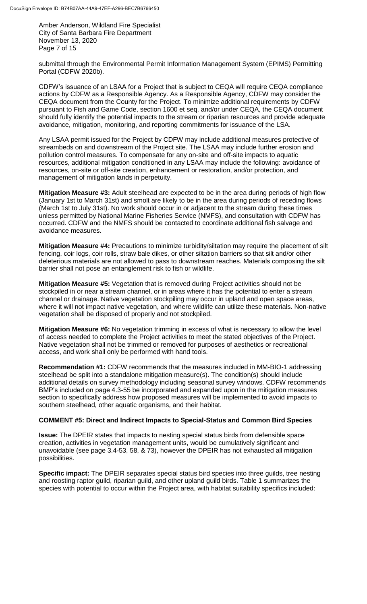Amber Anderson, Wildland Fire Specialist City of Santa Barbara Fire Department November 13, 2020 Page 7 of 15

submittal through the Environmental Permit Information Management System (EPIMS) Permitting Portal (CDFW 2020b).

CDFW's issuance of an LSAA for a Project that is subject to CEQA will require CEQA compliance actions by CDFW as a Responsible Agency. As a Responsible Agency, CDFW may consider the CEQA document from the County for the Project. To minimize additional requirements by CDFW pursuant to Fish and Game Code, section 1600 et seq. and/or under CEQA, the CEQA document should fully identify the potential impacts to the stream or riparian resources and provide adequate avoidance, mitigation, monitoring, and reporting commitments for issuance of the LSA.

Any LSAA permit issued for the Project by CDFW may include additional measures protective of streambeds on and downstream of the Project site. The LSAA may include further erosion and pollution control measures. To compensate for any on-site and off-site impacts to aquatic resources, additional mitigation conditioned in any LSAA may include the following: avoidance of resources, on-site or off-site creation, enhancement or restoration, and/or protection, and management of mitigation lands in perpetuity.

**Mitigation Measure #3:** Adult steelhead are expected to be in the area during periods of high flow (January 1st to March 31st) and smolt are likely to be in the area during periods of receding flows (March 1st to July 31st). No work should occur in or adjacent to the stream during these times unless permitted by National Marine Fisheries Service (NMFS), and consultation with CDFW has occurred. CDFW and the NMFS should be contacted to coordinate additional fish salvage and avoidance measures.

**Mitigation Measure #4:** Precautions to minimize turbidity/siltation may require the placement of silt fencing, coir logs, coir rolls, straw bale dikes, or other siltation barriers so that silt and/or other deleterious materials are not allowed to pass to downstream reaches. Materials composing the silt barrier shall not pose an entanglement risk to fish or wildlife.

**Mitigation Measure #5:** Vegetation that is removed during Project activities should not be stockpiled in or near a stream channel, or in areas where it has the potential to enter a stream channel or drainage. Native vegetation stockpiling may occur in upland and open space areas, where it will not impact native vegetation, and where wildlife can utilize these materials. Non-native vegetation shall be disposed of properly and not stockpiled.

**Mitigation Measure #6:** No vegetation trimming in excess of what is necessary to allow the level of access needed to complete the Project activities to meet the stated objectives of the Project. Native vegetation shall not be trimmed or removed for purposes of aesthetics or recreational access, and work shall only be performed with hand tools.

**Recommendation #1:** CDFW recommends that the measures included in MM-BIO-1 addressing steelhead be split into a standalone mitigation measure(s). The condition(s) should include additional details on survey methodology including seasonal survey windows. CDFW recommends BMP's included on page 4.3-55 be incorporated and expanded upon in the mitigation measures section to specifically address how proposed measures will be implemented to avoid impacts to southern steelhead, other aquatic organisms, and their habitat.

# **COMMENT #5: Direct and Indirect Impacts to Special-Status and Common Bird Species**

**Issue:** The DPEIR states that impacts to nesting special status birds from defensible space creation, activities in vegetation management units, would be cumulatively significant and unavoidable (see page 3.4-53, 58, & 73), however the DPEIR has not exhausted all mitigation possibilities.

**Specific impact:** The DPEIR separates special status bird species into three guilds, tree nesting and roosting raptor guild, riparian guild, and other upland guild birds. Table 1 summarizes the species with potential to occur within the Project area, with habitat suitability specifics included: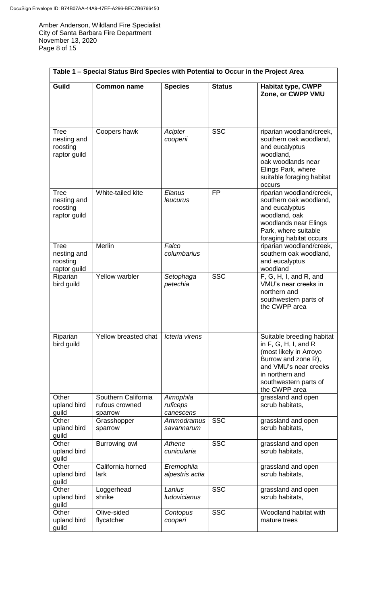Amber Anderson, Wildland Fire Specialist City of Santa Barbara Fire Department November 13, 2020 Page 8 of 15

| Table 1 - Special Status Bird Species with Potential to Occur in the Project Area |                                                  |                                    |               |                                                                                                                                                                                              |
|-----------------------------------------------------------------------------------|--------------------------------------------------|------------------------------------|---------------|----------------------------------------------------------------------------------------------------------------------------------------------------------------------------------------------|
| Guild                                                                             | <b>Common name</b>                               | <b>Species</b>                     | <b>Status</b> | <b>Habitat type, CWPP</b><br>Zone, or CWPP VMU                                                                                                                                               |
| <b>Tree</b><br>nesting and<br>roosting<br>raptor guild                            | Coopers hawk                                     | Acipter<br>cooperii                | <b>SSC</b>    | riparian woodland/creek,<br>southern oak woodland,<br>and eucalyptus<br>woodland,<br>oak woodlands near<br>Elings Park, where<br>suitable foraging habitat<br>occurs                         |
| <b>Tree</b><br>nesting and<br>roosting<br>raptor guild                            | White-tailed kite                                | Elanus<br>leucurus                 | <b>FP</b>     | riparian woodland/creek,<br>southern oak woodland,<br>and eucalyptus<br>woodland, oak<br>woodlands near Elings<br>Park, where suitable<br>foraging habitat occurs                            |
| <b>Tree</b><br>nesting and<br>roosting<br>raptor guild                            | Merlin                                           | Falco<br>columbarius               |               | riparian woodland/creek,<br>southern oak woodland,<br>and eucalyptus<br>woodland                                                                                                             |
| Riparian<br>bird guild                                                            | Yellow warbler                                   | Setophaga<br>petechia              | <b>SSC</b>    | F, G, H, I, and R, and<br>VMU's near creeks in<br>northern and<br>southwestern parts of<br>the CWPP area                                                                                     |
| Riparian<br>bird guild                                                            | Yellow breasted chat                             | <i>Icteria virens</i>              |               | Suitable breeding habitat<br>in $F, G, H, I,$ and $R$<br>(most likely in Arroyo<br>Burrow and zone R),<br>and VMU's near creeks<br>in northern and<br>southwestern parts of<br>the CWPP area |
| Other<br>upland bird<br>guild                                                     | Southern California<br>rufous crowned<br>sparrow | Aimophila<br>ruficeps<br>canescens |               | grassland and open<br>scrub habitats,                                                                                                                                                        |
| Other<br>upland bird<br>guild                                                     | Grasshopper<br>sparrow                           | Ammodramus<br>savannarum           | <b>SSC</b>    | grassland and open<br>scrub habitats,                                                                                                                                                        |
| Other<br>upland bird<br>guild                                                     | <b>Burrowing owl</b>                             | Athene<br>cunicularia              | <b>SSC</b>    | grassland and open<br>scrub habitats,                                                                                                                                                        |
| Other<br>upland bird<br>guild                                                     | California horned<br>lark                        | Eremophila<br>alpestris actia      |               | grassland and open<br>scrub habitats,                                                                                                                                                        |
| Other<br>upland bird<br>guild                                                     | Loggerhead<br>shrike                             | Lanius<br>ludovicianus             | <b>SSC</b>    | grassland and open<br>scrub habitats,                                                                                                                                                        |
| Other<br>upland bird<br>guild                                                     | Olive-sided<br>flycatcher                        | Contopus<br>cooperi                | <b>SSC</b>    | Woodland habitat with<br>mature trees                                                                                                                                                        |

٦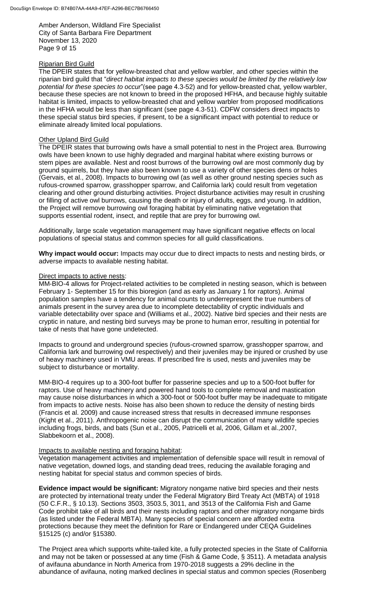Amber Anderson, Wildland Fire Specialist City of Santa Barbara Fire Department November 13, 2020 Page 9 of 15

### Riparian Bird Guild

The DPEIR states that for yellow-breasted chat and yellow warbler, and other species within the riparian bird guild that "*direct habitat impacts to these species would be limited by the relatively low potential for these species to occur*"(see page 4.3-52) and for yellow-breasted chat, yellow warbler, because these species are not known to breed in the proposed HFHA, and because highly suitable habitat is limited, impacts to yellow-breasted chat and yellow warbler from proposed modifications in the HFHA would be less than significant (see page 4.3-51). CDFW considers direct impacts to these special status bird species, if present, to be a significant impact with potential to reduce or eliminate already limited local populations.

#### Other Upland Bird Guild

The DPEIR states that burrowing owls have a small potential to nest in the Project area. Burrowing owls have been known to use highly degraded and marginal habitat where existing burrows or stem pipes are available. Nest and roost burrows of the burrowing owl are most commonly dug by ground squirrels, but they have also been known to use a variety of other species dens or holes (Gervais, et al., 2008). Impacts to burrowing owl (as well as other ground nesting species such as rufous-crowned sparrow, grasshopper sparrow, and California lark) could result from vegetation clearing and other ground disturbing activities. Project disturbance activities may result in crushing or filling of active owl burrows, causing the death or injury of adults, eggs, and young. In addition, the Project will remove burrowing owl foraging habitat by eliminating native vegetation that supports essential rodent, insect, and reptile that are prey for burrowing owl.

Additionally, large scale vegetation management may have significant negative effects on local populations of special status and common species for all guild classifications.

**Why impact would occur:** Impacts may occur due to direct impacts to nests and nesting birds, or adverse impacts to available nesting habitat.

#### Direct impacts to active nests:

MM-BIO-4 allows for Project-related activities to be completed in nesting season, which is between February 1- September 15 for this bioregion (and as early as January 1 for raptors). Animal population samples have a tendency for animal counts to underrepresent the true numbers of animals present in the survey area due to incomplete detectability of cryptic individuals and variable detectability over space and (Williams et al., 2002). Native bird species and their nests are cryptic in nature, and nesting bird surveys may be prone to human error, resulting in potential for take of nests that have gone undetected.

Impacts to ground and underground species (rufous-crowned sparrow, grasshopper sparrow, and California lark and burrowing owl respectively) and their juveniles may be injured or crushed by use of heavy machinery used in VMU areas. If prescribed fire is used, nests and juveniles may be subject to disturbance or mortality.

MM-BIO-4 requires up to a 300-foot buffer for passerine species and up to a 500-foot buffer for raptors. Use of heavy machinery and powered hand tools to complete removal and mastication may cause noise disturbances in which a 300-foot or 500-foot buffer may be inadequate to mitigate from impacts to active nests. Noise has also been shown to reduce the density of nesting birds (Francis et al. 2009) and cause increased stress that results in decreased immune responses (Kight et al., 2011). Anthropogenic noise can disrupt the communication of many wildlife species including frogs, birds, and bats (Sun et al., 2005, Patricelli et al, 2006, Gillam et al.,2007, Slabbekoorn et al., 2008).

#### Impacts to available nesting and foraging habitat:

Vegetation management activities and implementation of defensible space will result in removal of native vegetation, downed logs, and standing dead trees, reducing the available foraging and nesting habitat for special status and common species of birds.

**Evidence impact would be significant:** Migratory nongame native bird species and their nests are protected by international treaty under the Federal Migratory Bird Treaty Act (MBTA) of 1918 (50 C.F.R., § 10.13). Sections 3503, 3503.5, 3011, and 3513 of the California Fish and Game Code prohibit take of all birds and their nests including raptors and other migratory nongame birds (as listed under the Federal MBTA). Many species of special concern are afforded extra protections because they meet the definition for Rare or Endangered under CEQA Guidelines §15125 (c) and/or §15380.

The Project area which supports white-tailed kite, a fully protected species in the State of California and may not be taken or possessed at any time (Fish & Game Code, § 3511). A metadata analysis of avifauna abundance in North America from 1970-2018 suggests a 29% decline in the abundance of avifauna, noting marked declines in special status and common species (Rosenberg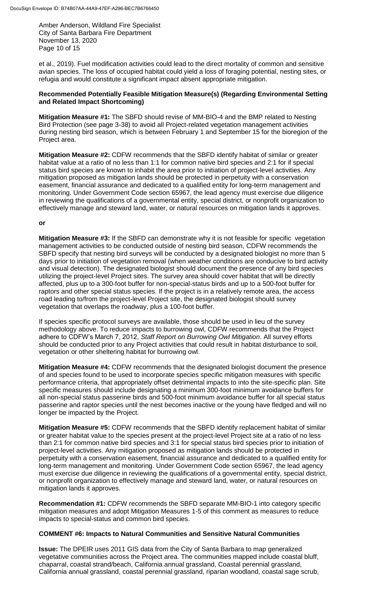Amber Anderson, Wildland Fire Specialist City of Santa Barbara Fire Department November 13, 2020 Page 10 of 15

et al., 2019). Fuel modification activities could lead to the direct mortality of common and sensitive avian species. The loss of occupied habitat could yield a loss of foraging potential, nesting sites, or refugia and would constitute a significant impact absent appropriate mitigation.

### **Recommended Potentially Feasible Mitigation Measure(s) (Regarding Environmental Setting and Related Impact Shortcoming)**

**Mitigation Measure #1:** The SBFD should revise of MM-BIO-4 and the BMP related to Nesting Bird Protection (see page 3-38) to avoid all Project-related vegetation management activities during nesting bird season, which is between February 1 and September 15 for the bioregion of the Project area.

**Mitigation Measure #2:** CDFW recommends that the SBFD identify habitat of similar or greater habitat value at a ratio of no less than 1:1 for common native bird species and 2:1 for if special status bird species are known to inhabit the area prior to initiation of project-level activities. Any mitigation proposed as mitigation lands should be protected in perpetuity with a conservation easement, financial assurance and dedicated to a qualified entity for long-term management and monitoring. Under Government Code section 65967, the lead agency must exercise due diligence in reviewing the qualifications of a governmental entity, special district, or nonprofit organization to effectively manage and steward land, water, or natural resources on mitigation lands it approves.

# **or**

**Mitigation Measure #3:** If the SBFD can demonstrate why it is not feasible for specific vegetation management activities to be conducted outside of nesting bird season, CDFW recommends the SBFD specify that nesting bird surveys will be conducted by a designated biologist no more than 5 days prior to initiation of vegetation removal (when weather conditions are conducive to bird activity and visual detection). The designated biologist should document the presence of any bird species utilizing the project-level Project sites. The survey area should cover habitat that will be directly affected, plus up to a 300-foot buffer for non-special-status birds and up to a 500-foot buffer for raptors and other special status species. If the project is in a relatively remote area, the access road leading to/from the project-level Project site, the designated biologist should survey vegetation that overlaps the roadway, plus a 100-foot buffer.

If species specific protocol surveys are available, those should be used in lieu of the survey methodology above. To reduce impacts to burrowing owl, CDFW recommends that the Project adhere to CDFW's March 7, 2012, *Staff Report on Burrowing Owl Mitigation*. All survey efforts should be conducted prior to any Project activities that could result in habitat disturbance to soil, vegetation or other sheltering habitat for burrowing owl.

**Mitigation Measure #4:** CDFW recommends that the designated biologist document the presence of and species found to be used to incorporate species specific mitigation measures with specific performance criteria, that appropriately offset detrimental impacts to into the site-specific plan. Site specific measures should include designating a minimum 300-foot minimum avoidance buffers for all non-special status passerine birds and 500-foot minimum avoidance buffer for all special status passerine and raptor species until the nest becomes inactive or the young have fledged and will no longer be impacted by the Project.

**Mitigation Measure #5:** CDFW recommends that the SBFD identify replacement habitat of similar or greater habitat value to the species present at the project-level Project site at a ratio of no less than 2:1 for common native bird species and 3:1 for special status bird species prior to initiation of project-level activities. Any mitigation proposed as mitigation lands should be protected in perpetuity with a conservation easement, financial assurance and dedicated to a qualified entity for long-term management and monitoring. Under Government Code section 65967, the lead agency must exercise due diligence in reviewing the qualifications of a governmental entity, special district, or nonprofit organization to effectively manage and steward land, water, or natural resources on mitigation lands it approves.

**Recommendation #1:** CDFW recommends the SBFD separate MM-BIO-1 into category specific mitigation measures and adopt Mitigation Measures 1-5 of this comment as measures to reduce impacts to special-status and common bird species.

# **COMMENT #6: Impacts to Natural Communities and Sensitive Natural Communities**

**Issue:** The DPEIR uses 2011 GIS data from the City of Santa Barbara to map generalized vegetative communities across the Project area. The communities mapped include coastal bluff, chaparral, coastal strand/beach, California annual grassland, Coastal perennial grassland, California annual grassland, coastal perennial grassland, riparian woodland, coastal sage scrub,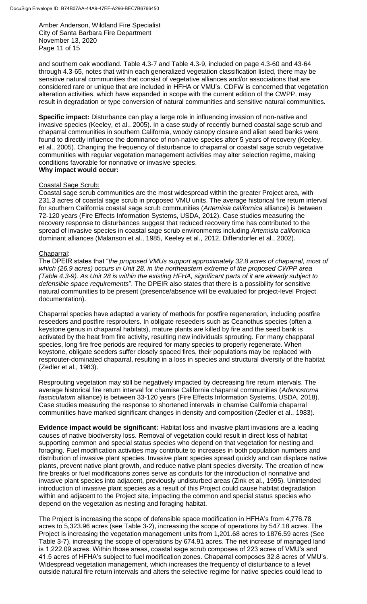Amber Anderson, Wildland Fire Specialist City of Santa Barbara Fire Department November 13, 2020 Page 11 of 15

and southern oak woodland. Table 4.3-7 and Table 4.3-9, included on page 4.3-60 and 43-64 through 4.3-65, notes that within each generalized vegetation classification listed, there may be sensitive natural communities that consist of vegetative alliances and/or associations that are considered rare or unique that are included in HFHA or VMU's. CDFW is concerned that vegetation alteration activities, which have expanded in scope with the current edition of the CWPP, may result in degradation or type conversion of natural communities and sensitive natural communities.

**Specific impact:** Disturbance can play a large role in influencing invasion of non-native and invasive species (Keeley, et al., 2005). In a case study of recently burned coastal sage scrub and chaparral communities in southern California, woody canopy closure and alien seed banks were found to directly influence the dominance of non-native species after 5 years of recovery (Keeley, et al., 2005). Changing the frequency of disturbance to chaparral or coastal sage scrub vegetative communities with regular vegetation management activities may alter selection regime, making conditions favorable for nonnative or invasive species. **Why impact would occur:** 

#### Coastal Sage Scrub:

Coastal sage scrub communities are the most widespread within the greater Project area, with 231.3 acres of coastal sage scrub in proposed VMU units. The average historical fire return interval for southern California coastal sage scrub communities (*Artemisia californica* alliance) is between 72-120 years (Fire Effects Information Systems, USDA, 2012). Case studies measuring the recovery response to disturbances suggest that reduced recovery time has contributed to the spread of invasive species in coastal sage scrub environments including *Artemisia californica* dominant alliances (Malanson et al., 1985, Keeley et al., 2012, Diffendorfer et al., 2002).

# Chaparral:

The DPEIR states that "*the proposed VMUs support approximately 32.8 acres of chaparral, most of which (26.9 acres) occurs in Unit 28, in the northeastern extreme of the proposed CWPP area (Table 4.3-9). As Unit 28 is within the existing HFHA, significant parts of it are already subject to defensible space requirements*". The DPEIR also states that there is a possibility for sensitive natural communities to be present (presence/absence will be evaluated for project-level Project documentation).

Chaparral species have adapted a variety of methods for postfire regeneration, including postfire reseeders and postfire resprouters. In obligate reseeders such as Ceanothus species (often a keystone genus in chaparral habitats), mature plants are killed by fire and the seed bank is activated by the heat from fire activity, resulting new individuals sprouting. For many chapparal species, long fire free periods are required for many species to properly regenerate. When keystone, obligate seeders suffer closely spaced fires, their populations may be replaced with resprouter-dominated chaparral, resulting in a loss in species and structural diversity of the habitat (Zedler et al., 1983).

Resprouting vegetation may still be negatively impacted by decreasing fire return intervals. The average historical fire return interval for chamise California chaparral communities (*Adenostoma fasciculatum* alliance) is between 33-120 years (Fire Effects Information Systems, USDA, 2018). Case studies measuring the response to shortened intervals in chamise California chaparral communities have marked significant changes in density and composition (Zedler et al., 1983).

**Evidence impact would be significant:** Habitat loss and invasive plant invasions are a leading causes of native biodiversity loss. Removal of vegetation could result in direct loss of habitat supporting common and special status species who depend on that vegetation for nesting and foraging. Fuel modification activities may contribute to increases in both population numbers and distribution of invasive plant species. Invasive plant species spread quickly and can displace native plants, prevent native plant growth, and reduce native plant species diversity. The creation of new fire breaks or fuel modifications zones serve as conduits for the introduction of nonnative and invasive plant species into adjacent, previously undisturbed areas (Zink et al., 1995). Unintended introduction of invasive plant species as a result of this Project could cause habitat degradation within and adjacent to the Project site, impacting the common and special status species who depend on the vegetation as nesting and foraging habitat.

The Project is increasing the scope of defensible space modification in HFHA's from 4,776.78 acres to 5,323.96 acres (see Table 3-2), increasing the scope of operations by 547.18 acres. The Project is increasing the vegetation management units from 1,201.68 acres to 1876.59 acres (See Table 3-7), increasing the scope of operations by 674.91 acres. The net increase of managed land is 1,222.09 acres. Within those areas, coastal sage scrub composes of 223 acres of VMU's and 41.5 acres of HFHA's subject to fuel modification zones. Chaparral composes 32.8 acres of VMU's. Widespread vegetation management, which increases the frequency of disturbance to a level outside natural fire return intervals and alters the selective regime for native species could lead to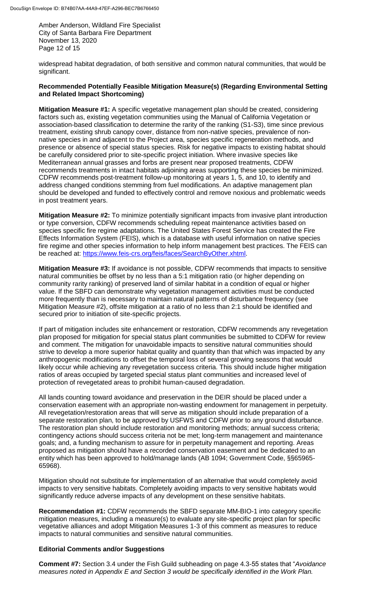Amber Anderson, Wildland Fire Specialist City of Santa Barbara Fire Department November 13, 2020 Page 12 of 15

widespread habitat degradation, of both sensitive and common natural communities, that would be significant.

### **Recommended Potentially Feasible Mitigation Measure(s) (Regarding Environmental Setting and Related Impact Shortcoming)**

**Mitigation Measure #1:** A specific vegetative management plan should be created, considering factors such as, existing vegetation communities using the Manual of California Vegetation or association-based classification to determine the rarity of the ranking (S1-S3), time since previous treatment, existing shrub canopy cover, distance from non-native species, prevalence of nonnative species in and adjacent to the Project area, species specific regeneration methods, and presence or absence of special status species. Risk for negative impacts to existing habitat should be carefully considered prior to site-specific project initiation. Where invasive species like Mediterranean annual grasses and forbs are present near proposed treatments, CDFW recommends treatments in intact habitats adjoining areas supporting these species be minimized. CDFW recommends post-treatment follow-up monitoring at years 1, 5, and 10, to identify and address changed conditions stemming from fuel modifications. An adaptive management plan should be developed and funded to effectively control and remove noxious and problematic weeds in post treatment years.

**Mitigation Measure #2:** To minimize potentially significant impacts from invasive plant introduction or type conversion, CDFW recommends scheduling repeat maintenance activities based on species specific fire regime adaptations. The United States Forest Service has created the Fire Effects Information System (FEIS), which is a database with useful information on native species fire regime and other species information to help inform management best practices. The FEIS can be reached at: [https://www.feis-crs.org/feis/faces/SearchByOther.xhtml.](https://www.feis-crs.org/feis/faces/SearchByOther.xhtml)

**Mitigation Measure #3:** If avoidance is not possible, CDFW recommends that impacts to sensitive natural communities be offset by no less than a 5:1 mitigation ratio (or higher depending on community rarity ranking) of preserved land of similar habitat in a condition of equal or higher value. If the SBFD can demonstrate why vegetation management activities must be conducted more frequently than is necessary to maintain natural patterns of disturbance frequency (see Mitigation Measure #2), offsite mitigation at a ratio of no less than 2:1 should be identified and secured prior to initiation of site-specific projects.

If part of mitigation includes site enhancement or restoration, CDFW recommends any revegetation plan proposed for mitigation for special status plant communities be submitted to CDFW for review and comment. The mitigation for unavoidable impacts to sensitive natural communities should strive to develop a more superior habitat quality and quantity than that which was impacted by any anthropogenic modifications to offset the temporal loss of several growing seasons that would likely occur while achieving any revegetation success criteria. This should include higher mitigation ratios of areas occupied by targeted special status plant communities and increased level of protection of revegetated areas to prohibit human-caused degradation.

All lands counting toward avoidance and preservation in the DEIR should be placed under a conservation easement with an appropriate non-wasting endowment for management in perpetuity. All revegetation/restoration areas that will serve as mitigation should include preparation of a separate restoration plan, to be approved by USFWS and CDFW prior to any ground disturbance. The restoration plan should include restoration and monitoring methods; annual success criteria; contingency actions should success criteria not be met; long-term management and maintenance goals; and, a funding mechanism to assure for in perpetuity management and reporting. Areas proposed as mitigation should have a recorded conservation easement and be dedicated to an entity which has been approved to hold/manage lands (AB 1094; Government Code, §§65965- 65968).

Mitigation should not substitute for implementation of an alternative that would completely avoid impacts to very sensitive habitats. Completely avoiding impacts to very sensitive habitats would significantly reduce adverse impacts of any development on these sensitive habitats.

**Recommendation #1:** CDFW recommends the SBFD separate MM-BIO-1 into category specific mitigation measures, including a measure(s) to evaluate any site-specific project plan for specific vegetative alliances and adopt Mitigation Measures 1-3 of this comment as measures to reduce impacts to natural communities and sensitive natural communities.

# **Editorial Comments and/or Suggestions**

**Comment #7:** Section 3.4 under the Fish Guild subheading on page 4.3-55 states that "*Avoidance measures noted in Appendix E and Section 3 would be specifically identified in the Work Plan.*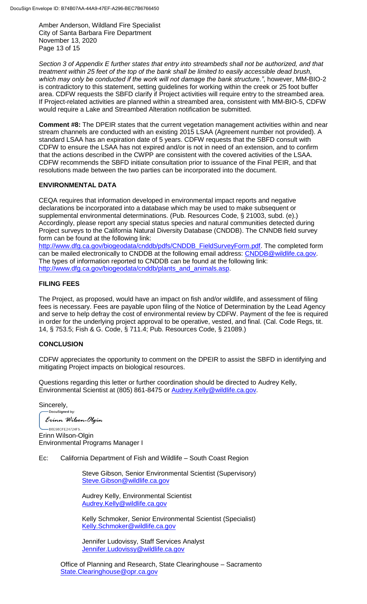Amber Anderson, Wildland Fire Specialist City of Santa Barbara Fire Department November 13, 2020 Page 13 of 15

*Section 3 of Appendix E further states that entry into streambeds shall not be authorized, and that treatment within 25 feet of the top of the bank shall be limited to easily accessible dead brush, which may only be conducted if the work will not damage the bank structure."*, however, MM-BIO-2 is contradictory to this statement, setting guidelines for working within the creek or 25 foot buffer area. CDFW requests the SBFD clarify if Project activities will require entry to the streambed area. If Project-related activities are planned within a streambed area, consistent with MM-BIO-5, CDFW would require a Lake and Streambed Alteration notification be submitted.

**Comment #8:** The DPEIR states that the current vegetation management activities within and near stream channels are conducted with an existing 2015 LSAA (Agreement number not provided). A standard LSAA has an expiration date of 5 years. CDFW requests that the SBFD consult with CDFW to ensure the LSAA has not expired and/or is not in need of an extension, and to confirm that the actions described in the CWPP are consistent with the covered activities of the LSAA. CDFW recommends the SBFD initiate consultation prior to issuance of the Final PEIR, and that resolutions made between the two parties can be incorporated into the document.

# **ENVIRONMENTAL DATA**

CEQA requires that information developed in environmental impact reports and negative declarations be incorporated into a database which may be used to make subsequent or supplemental environmental determinations. (Pub. Resources Code, § 21003, subd. (e).) Accordingly, please report any special status species and natural communities detected during Project surveys to the California Natural Diversity Database (CNDDB). The CNNDB field survey form can be found at the following link:

[http://www.dfg.ca.gov/biogeodata/cnddb/pdfs/CNDDB\\_FieldSurveyForm.pdf.](http://www.dfg.ca.gov/biogeodata/cnddb/pdfs/CNDDB_FieldSurveyForm.pdf) The completed form can be mailed electronically to CNDDB at the following email address: [CNDDB@wildlife.ca.gov.](mailto:cnddb@dfg.ca.gov) The types of information reported to CNDDB can be found at the following link: [http://www.dfg.ca.gov/biogeodata/cnddb/plants\\_and\\_animals.asp.](http://www.dfg.ca.gov/biogeodata/cnddb/plants_and_animals.asp)

# **FILING FEES**

The Project, as proposed, would have an impact on fish and/or wildlife, and assessment of filing fees is necessary. Fees are payable upon filing of the Notice of Determination by the Lead Agency and serve to help defray the cost of environmental review by CDFW. Payment of the fee is required in order for the underlying project approval to be operative, vested, and final. (Cal. Code Regs, tit. 14, § 753.5; Fish & G. Code, § 711.4; Pub. Resources Code, § 21089.)

# **CONCLUSION**

CDFW appreciates the opportunity to comment on the DPEIR to assist the SBFD in identifying and mitigating Project impacts on biological resources.

Questions regarding this letter or further coordination should be directed to Audrey Kelly, Environmental Scientist at (805) 861-8475 or **Audrey.Kelly@wildlife.ca.gov.** 

Sincerely,<br>
Pocusigned by: Erinn Wilson-Olgin

-B6E58CFE24724F5. Erinn Wilson-Olgin Environmental Programs Manager I

Ec: California Department of Fish and Wildlife – South Coast Region

Steve Gibson, Senior Environmental Scientist (Supervisory) [Steve.Gibson@wildlife.ca.gov](mailto:Steve.Gibson@wildlife.ca.gov)

Audrey Kelly, Environmental Scientist [Audrey.Kelly@wildlife.ca.gov](mailto:Audrey.Kelly@wildlife.ca.gov)

Kelly Schmoker, Senior Environmental Scientist (Specialist) [Kelly.Schmoker@wildlife.ca.gov](mailto:Kelly.Schmoker@wildlife.ca.gov)

Jennifer Ludovissy, Staff Services Analyst [Jennifer.Ludovissy@wildlife.ca.gov](mailto:Jennifer.Ludovissy@wildlife.ca.gov)

Office of Planning and Research, State Clearinghouse – Sacramento [State.Clearinghouse@opr.ca.gov](mailto:State.Clearinghouse@opr.ca.gov)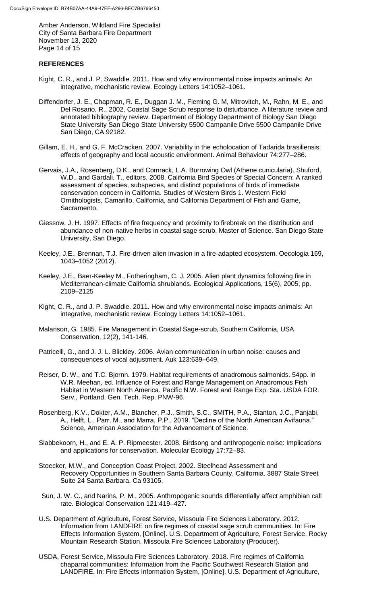Amber Anderson, Wildland Fire Specialist City of Santa Barbara Fire Department November 13, 2020 Page 14 of 15

#### **REFERENCES**

- Kight, C. R., and J. P. Swaddle. 2011. How and why environmental noise impacts animals: An integrative, mechanistic review. Ecology Letters 14:1052–1061.
- Diffendorfer, J. E., Chapman, R. E., Duggan J. M., Fleming G. M, Mitrovitch, M., Rahn, M. E., and Del Rosario, R., 2002. Coastal Sage Scrub response to disturbance. A literature review and annotated bibliography review. Department of Biology Department of Biology San Diego State University San Diego State University 5500 Campanile Drive 5500 Campanile Drive San Diego, CA 92182.
- Gillam, E. H., and G. F. McCracken. 2007. Variability in the echolocation of Tadarida brasiliensis: effects of geography and local acoustic environment. Animal Behaviour 74:277–286.
- Gervais, J.A., Rosenberg, D.K., and Comrack, L.A. Burrowing Owl (Athene cunicularia). Shuford, W.D., and Gardali, T., editors. 2008. California Bird Species of Special Concern: A ranked assessment of species, subspecies, and distinct populations of birds of immediate conservation concern in California. Studies of Western Birds 1. Western Field Ornithologists, Camarillo, California, and California Department of Fish and Game, Sacramento.
- Giessow, J. H. 1997. Effects of fire frequency and proximity to firebreak on the distribution and abundance of non-native herbs in coastal sage scrub. Master of Science. San Diego State University, San Diego.
- Keeley, J.E., Brennan, T.J. Fire-driven alien invasion in a fire-adapted ecosystem. Oecologia 169, 1043–1052 (2012).
- Keeley, J.E., Baer-Keeley M., Fotheringham, C. J. 2005. Alien plant dynamics following fire in Mediterranean-climate California shrublands. Ecological Applications, 15(6), 2005, pp. 2109–2125
- Kight, C. R., and J. P. Swaddle. 2011. How and why environmental noise impacts animals: An integrative, mechanistic review. Ecology Letters 14:1052–1061.
- Malanson, G. 1985. Fire Management in Coastal Sage-scrub, Southern California, USA. Conservation, 12(2), 141-146.
- Patricelli, G., and J. J. L. Blickley. 2006. Avian communication in urban noise: causes and consequences of vocal adjustment. Auk 123:639–649.
- Reiser, D. W., and T.C. Bjornn. 1979. Habitat requirements of anadromous salmonids. 54pp. in W.R. Meehan, ed. Influence of Forest and Range Management on Anadromous Fish Habitat in Western North America. Pacific N.W. Forest and Range Exp. Sta. USDA FOR. Serv., Portland. Gen. Tech. Rep. PNW-96.
- Rosenberg, K.V., Dokter, A.M., Blancher, P.J., Smith, S.C., SMITH, P.A., Stanton, J.C., Panjabi, A., Helft, L., Parr, M., and Marra, P.P., 2019. "Decline of the North American Avifauna." Science, American Association for the Advancement of Science.
- Slabbekoorn, H., and E. A. P. Ripmeester. 2008. Birdsong and anthropogenic noise: Implications and applications for conservation. Molecular Ecology 17:72–83.
- Stoecker, M.W., and Conception Coast Project. 2002. Steelhead Assessment and Recovery Opportunities in Southern Santa Barbara County, California. 3887 State Street Suite 24 Santa Barbara, Ca 93105.
- Sun, J. W. C., and Narins, P. M., 2005. Anthropogenic sounds differentially affect amphibian call rate. Biological Conservation 121:419–427.
- U.S. Department of Agriculture, Forest Service, Missoula Fire Sciences Laboratory. 2012. Information from LANDFIRE on fire regimes of coastal sage scrub communities. In: Fire Effects Information System, [Online]. U.S. Department of Agriculture, Forest Service, Rocky Mountain Research Station, Missoula Fire Sciences Laboratory (Producer).
- USDA, Forest Service, Missoula Fire Sciences Laboratory. 2018. Fire regimes of California chaparral communities: Information from the Pacific Southwest Research Station and LANDFIRE. In: Fire Effects Information System, [Online]. U.S. Department of Agriculture,